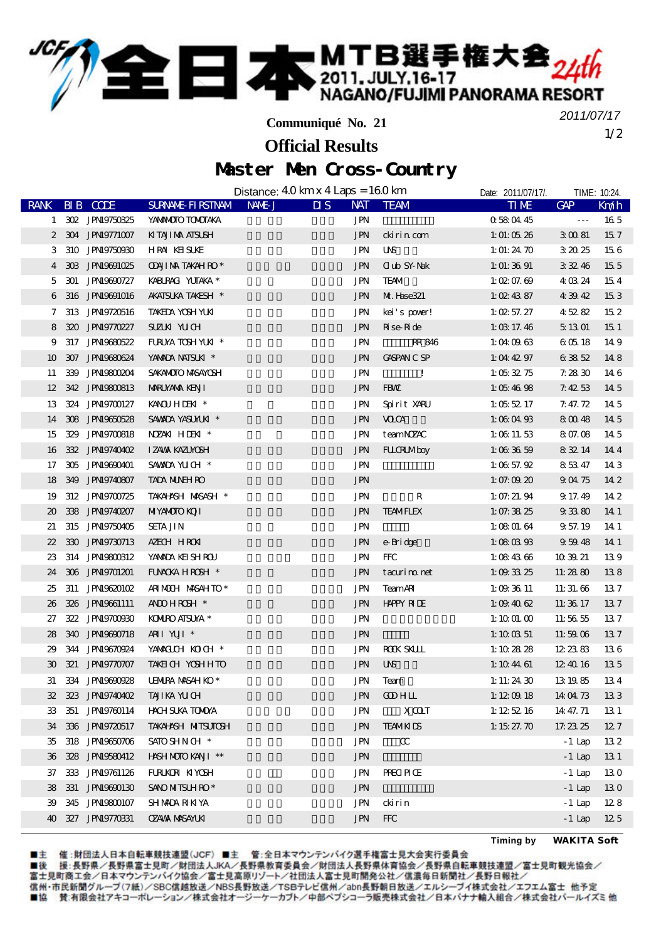**SEEE 本** MTB選手権大会<sub>24th</sub>

**Communiqué No. 21**

1/2 *2011/07/17*

## Master Men Cross-Country **Official Results**

|                             |                    | Distance: $40 \,\mathrm{km} \times 4 \,\mathrm{Laps} = 160 \,\mathrm{km}$ |                                    |                    | Date: 2011/07/17/. |                      | TIME: 10:24.    |
|-----------------------------|--------------------|---------------------------------------------------------------------------|------------------------------------|--------------------|--------------------|----------------------|-----------------|
| <b>RANK</b>                 | BIB CODE           | SURNAME FIRSTNAM NAME J                                                   | $\overline{\mathbf{u}}$ s          | NAT TEAM           | <b>TIME</b>        | GAP                  | Km/h            |
|                             | 1 302 JPN9750325   | YANMOTO TOMOTAKA                                                          | JPN                                |                    | 0580445            | $\sim$ $\sim$ $\sim$ | 165             |
|                             | 2 304 JPN19771007  | KITAJI NA ATSUSH                                                          | <b>JPN</b>                         | ckirincom          | 1: 01: 05 $26$     | 30081                | 157             |
| 3                           | 310 JPN19750930    | <b>HRA KEISUKE</b>                                                        | JPN                                | <b>UNS</b>         | 1: 01: 24 $70$     | 32025                | 156             |
| 4                           | 303 JPN19691025    | <b>ODUI MA TAKAH RO*</b>                                                  | <b>JPN</b>                         | <b>Oub SY Nak</b>  | 1: 01: $3691$      | 33246                | 155             |
| 5                           | 301 JPN19690727    | KABURACI YUTAKA *                                                         | <b>JPN</b>                         | <b>TEAM</b>        | 1: 02: 07. $69$    | 4 03 24              | 154             |
| 6                           | 316 JPN19691016    | AKATSUKA TAKESH $\hspace{0.1mm}^*$                                        | <b>JPN</b>                         | ML Hase321         | 1: 02 43 87        | 4 39 42              | 153             |
| 7                           | 313 JPN19720516    | TAKEDA YOSH YUKI                                                          | JPN                                | kei's pover!       | 1: 02 57. 27       | 45282                | 15 <sub>2</sub> |
| 8                           | 320 JPN19770227    | SUZUN YUCH                                                                | <b>JPN</b>                         | <b>R</b> ise Ride  | 1: $\times$ 17.46  | 5 13 01              | 15 <sub>1</sub> |
| 9                           | 317 JPN19680522    | FURUYA TOSH YUKI *                                                        | JPN                                | RR 846             | 1:040963           | 60518                | 149             |
| 10                          | 307 JPN19680624    | YANADA NATSUKI *                                                          | <b>JPN</b>                         | <b>CASPAN C SP</b> | 1:04 $4297$        | 63852                | 148             |
| 11                          | 339 JPN19800204    | SAKANDIO MASAYOSH                                                         | JPN                                | $\mathbf{I}$       | 1:05 $32.75$       | 7.2830               | 146             |
| $12 \,$                     | 342 JPN19800813    | MARUYANA KENJI                                                            | <b>JPN</b>                         | FBW                | 1: $054698$        | 7.4253               | 14.5            |
| 13                          | 324 JPN19700127    | KANOU HIDEN *                                                             | JPN                                | Spirit XARU        | 1:055217           | 7.47.72              | 14 5            |
| 14                          | 308 JPN9650528     | SAWDA YASUMUK *                                                           | <b>JPN</b>                         | <b>VOCA</b>        | 1:08 04 $93$       | 8 00 48              | 14 5            |
| 15                          | 329 JPN19700818    | NZAKI HIEKI *                                                             | JPN                                | teamNZAC           | 1:0011.53          | 8 07.08              | 14 5            |
| 16                          | 332 JPN19740402    | IZAWA KAZUNOSH                                                            | <b>JPN</b>                         | <b>FULTRIMboy</b>  | 1:003659           | 83214                | 144             |
| 17                          | 305 JPN19690401    | SAWDA YUCH *                                                              | JPN                                |                    | 1:0657.92          | 85347                | 14 3            |
| 18                          | 349 JPN19740807    | <b>TADA MUNH RO</b>                                                       | <b>JPN</b>                         |                    | 1: 07: 09 $20$     | 90475                | 14 2            |
| 19                          | 312 JPN19700725    | TAKAHASH MASASH *                                                         | JPN                                | R                  | 1:07.21.94         | 9 17 49              | 14 2            |
| $\boldsymbol{\mathfrak{D}}$ | 338 JPN19740207    | <b>MIYAMOIO KOII</b>                                                      | <b>JPN</b>                         | <b>TEAMFLEX</b>    | 1: 07. $38\,25$    | 93380                | 14 1            |
| 21                          | 315 JPN19750405    | <b>SETA JIN</b>                                                           | <b>JPN</b>                         |                    | 1:0801.64          | 9 57 19              | 14 1            |
| $22\,$                      | 330 JPN19730713    | AZECH HRON                                                                | $\mathbf{J}\mathbf{P}\!\mathbf{N}$ | e-Bridge           | 1:08 $03.93$       | 95948                | 14 1            |
| 23                          | 314 JPN19800312    | YANADA KEISHROU                                                           | JPN                                | <b>FFC</b>         | 1:084366           | 10 39 21             | 139             |
| 24                          | 306 JPN9701201     | FUNCKA HROSH *                                                            | <b>JPN</b>                         | tacuri no net      | 1: $093325$        | 11:2880              | 138             |
| 25                          | 311 JPN19620102    | ARIMOUH MASAHTO*                                                          | <b>JPN</b>                         | <b>TeamARI</b>     | 1:093611           | 11: 31. 66           | 137             |
| 26                          | 326 JPN9661111     | ANDHROH <sup>*</sup>                                                      | JPN                                | <b>HAPPY RILE</b>  | 1:09 40 62         | 11:36 17             | 137             |
| 27                          | 322 JPN19700930    | <b>KOMIRO AISUYA *</b>                                                    | <b>JPN</b>                         |                    | 1:1001.00          | 11:56 55             | 137             |
| 28                          | 340 JPN19690718    | ARI YUI <sup>*</sup>                                                      | <b>JPN</b>                         |                    | 1: $10 \times 51$  | 11:5906              | 137             |
| 29                          | 344 JPN19670924    | YAWACCH KOCH *                                                            | <b>JPN</b>                         | <b>ROCK SKLLL</b>  | 1: 10 $28\,28$     | 12 23 83             | 136             |
| $\boldsymbol{\mathfrak{D}}$ | 321 JPN19770707    | TAKEICH YOSHHTO                                                           | $\operatorname{JPN}$               | <b>UNS</b>         | 1:104461           | 12 40 16             | 135             |
|                             | 31 334 JPN19690928 | UENURA MASAH KO*                                                          | JPN                                | Team               | 1: 11: 24 30       | 13 19 85             | 134             |
|                             | 32 323 JPN19740402 | TAJI KA YUCH                                                              | JPN                                | <b>CODHIL</b>      | 1:12 $@$ 18        | 14 04 73             | 133             |
|                             | 33 351 JPN19760114 | <b>HACH SUKA TOMOYA</b>                                                   | JPN                                | XCLT               | 1:125216           | 14 47.71             | 13 1            |
|                             | 34 336 JPN19720517 | <b>TAKAHISH MITSUTOSH</b>                                                 | JPN                                | <b>TEAMKIDS</b>    | 1: $1527.70$       | 17.23.25             | 127             |
|                             | 35 318 JPN19650706 | SATO SHN CH <sup>*</sup>                                                  | JPN                                | $\alpha$           |                    | $-1$ Lap             | 132             |
|                             | 36 328 JPN19580412 | HASH MOTO KANI **                                                         | JPN                                |                    |                    | $-1$ Lap             | 13 1            |
| 37                          | 333 JPN9761126     | FURUKOR KIYOSH                                                            | JPN                                | <b>PRECIPICE</b>   |                    | $-1$ Lap             | 130             |
|                             | 38 331 JPN19690130 | SANO MITSUH RO*                                                           | JPN                                |                    |                    | $-1$ Lap             | 130             |
| 39                          | 345 JPN19800107    | SHMADA RIKIYA                                                             | JPN                                | ckirin             |                    | $-1$ Lap             | 128             |
|                             | 40 327 JPN19770331 | <b>OZAVAX NASAYLKI</b>                                                    | <b>JPN</b>                         | <b>FFC</b>         |                    | $-1$ Lap             | 125             |
|                             |                    |                                                                           |                                    |                    |                    |                      |                 |

■主 催 :財団法人日本自転車競技連盟(JCF)■主 管 :全日本マウンテンバイク選手権富士見大会実行委員会<br>■後 援:長野県/長野県富士見町/財団法人JKA/長野県教育委員会/財団法人長野県体育協会/長野県自転車競技連盟/富士見町観光協会/<br>富士見町商工会/日本マウンテンバイク協会/富士見高原リゾート/社団法人富士見町開発公社/信濃毎日新聞社/長野日報社/ 信州·市民新聞グループ(7紙)/SBC信越放送/NBS長野放送/TSBテレビ信州/abn長野朝日放送/エルシーブイ株式会社/エフエム富士 他予定 ■協 賛:有限会社アキコーポレーション/株式会社オージーケーカブト/中部ペプシコーラ販売株式会社/日本バナナ輸入組合/株式会社パールイズミ他